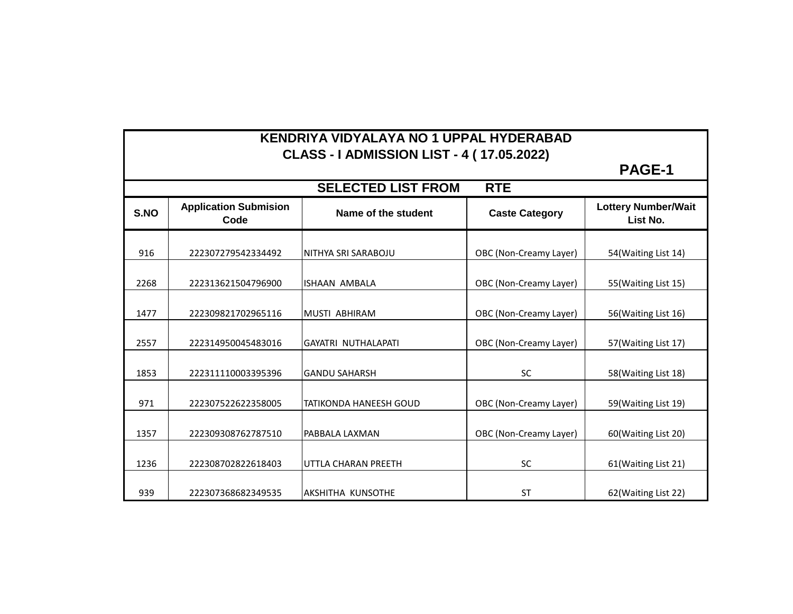| KENDRIYA VIDYALAYA NO 1 UPPAL HYDERABAD<br><b>CLASS - I ADMISSION LIST - 4 (17.05.2022)</b> |                                      |                               |                        |                                        |  |  |  |
|---------------------------------------------------------------------------------------------|--------------------------------------|-------------------------------|------------------------|----------------------------------------|--|--|--|
|                                                                                             | <b>PAGE-1</b>                        |                               |                        |                                        |  |  |  |
| <b>SELECTED LIST FROM</b><br><b>RTE</b>                                                     |                                      |                               |                        |                                        |  |  |  |
| S.NO                                                                                        | <b>Application Submision</b><br>Code | Name of the student           | <b>Caste Category</b>  | <b>Lottery Number/Wait</b><br>List No. |  |  |  |
| 916                                                                                         | 222307279542334492                   | NITHYA SRI SARABOJU           | OBC (Non-Creamy Layer) | 54(Waiting List 14)                    |  |  |  |
| 2268                                                                                        | 222313621504796900                   | <b>ISHAAN AMBALA</b>          | OBC (Non-Creamy Layer) | 55(Waiting List 15)                    |  |  |  |
| 1477                                                                                        | 222309821702965116                   | MUSTI ABHIRAM                 | OBC (Non-Creamy Layer) | 56(Waiting List 16)                    |  |  |  |
| 2557                                                                                        | 222314950045483016                   | <b>GAYATRI NUTHALAPATI</b>    | OBC (Non-Creamy Layer) | 57(Waiting List 17)                    |  |  |  |
| 1853                                                                                        | 222311110003395396                   | <b>GANDU SAHARSH</b>          | <b>SC</b>              | 58(Waiting List 18)                    |  |  |  |
| 971                                                                                         | 222307522622358005                   | <b>TATIKONDA HANEESH GOUD</b> | OBC (Non-Creamy Layer) | 59(Waiting List 19)                    |  |  |  |
| 1357                                                                                        | 222309308762787510                   | PABBALA LAXMAN                | OBC (Non-Creamy Layer) | 60(Waiting List 20)                    |  |  |  |
| 1236                                                                                        | 222308702822618403                   | UTTLA CHARAN PREETH           | <b>SC</b>              | 61(Waiting List 21)                    |  |  |  |
| 939                                                                                         | 222307368682349535                   | <b>AKSHITHA KUNSOTHE</b>      | <b>ST</b>              | 62(Waiting List 22)                    |  |  |  |

Г

┑